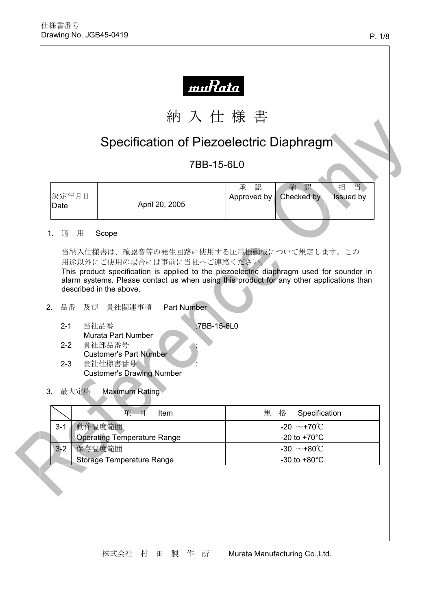|            |                                       |                                                                                                                                                                                          |                    | Specification of Piezoelectric Diaphragm                                                                                                                                                                            |
|------------|---------------------------------------|------------------------------------------------------------------------------------------------------------------------------------------------------------------------------------------|--------------------|---------------------------------------------------------------------------------------------------------------------------------------------------------------------------------------------------------------------|
| 7BB-15-6L0 |                                       |                                                                                                                                                                                          |                    |                                                                                                                                                                                                                     |
|            | 决定年月日<br>Date                         |                                                                                                                                                                                          | April 20, 2005     | 当<br>認<br>担<br>承<br>確認<br>Checked by<br>Issued by<br>Approved by                                                                                                                                                    |
| 1.         | 適 用                                   | Scope                                                                                                                                                                                    |                    |                                                                                                                                                                                                                     |
|            |                                       |                                                                                                                                                                                          |                    | 用途以外にご使用の場合には事前に当社へご連絡ください。<br>This product specification is applied to the piezoelectric diaphragm used for sounder in<br>alarm systems. Please contact us when using this product for any other applications than |
| 2.<br>3.   | $2 - 1$<br>$2 - 2$<br>$2 - 3$<br>最大定格 | described in the above.<br>品番 及び 貴社関連事項<br>当社品番<br>Murata Part Number<br>貴社部品番号<br><b>Customer's Part Number</b><br>貴社仕様書番号<br><b>Customer's Drawing Number</b><br><b>Maximum Rating</b> | <b>Part Number</b> | :7BB-15-6L0                                                                                                                                                                                                         |
|            |                                       | 項<br>目                                                                                                                                                                                   | Item               | 規<br>格<br>Specification                                                                                                                                                                                             |
|            | $3 - 1$                               | 動作温度範囲                                                                                                                                                                                   |                    | -20 $\sim$ +70°C                                                                                                                                                                                                    |
|            | $3-2$                                 | <b>Operating Temperature Range</b><br>保存温度範囲                                                                                                                                             |                    | -20 to $+70^{\circ}$ C<br>-30 $\sim$ +80°C                                                                                                                                                                          |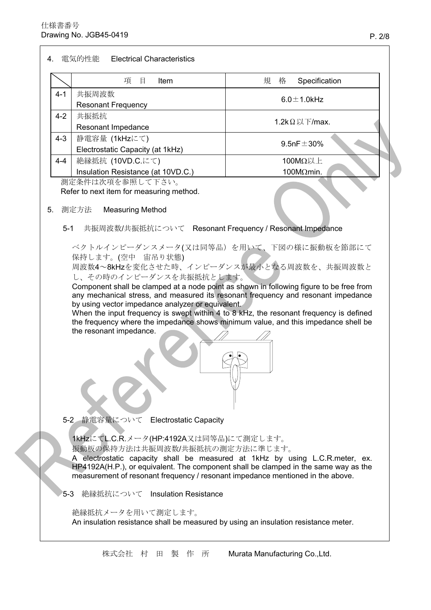$\mathbf{r}$ 

| 共振周波数<br>$4 - 1$<br>$6.0 \pm 1.0$ kHz<br><b>Resonant Frequency</b><br>共振抵抗<br>$4 - 2$<br>1.2k $\Omega$ 以下/max.<br>Resonant Impedance<br>$4 - 3$<br>静電容量 (1kHzにて)<br>9.5nF $\pm$ 30%<br>Electrostatic Capacity (at 1kHz)<br>絶縁抵抗 (10VD.C.にて)<br>100MΩ以上<br>$4 - 4$<br>Insulation Resistance (at 10VD.C.)<br>$100M\Omega$ min.<br>測定条件は次項を参照して下さい。<br>Refer to next item for measuring method.<br>測定方法<br>5.<br><b>Measuring Method</b><br>共振周波数/共振抵抗について Resonant Frequency / Resonant Impedance<br>$5 - 1$<br>ベクトルインピーダンスメータ(又は同等品)を用いて、下図の様に振動板を節部にて<br>保持します。(空中 宙吊り状態)<br>周波数4~8kHzを変化させた時、インピーダンスが最小となる周波数を、共振周波数と<br>し、その時のインピーダンスを共振抵抗とします。<br>Component shall be clamped at a node point as shown in following figure to be free from<br>any mechanical stress, and measured its resonant frequency and resonant impedance<br>by using vector impedance analyzer or equivalent.<br>When the input frequency is swept within 4 to 8 kHz, the resonant frequency is defined<br>the frequency where the impedance shows minimum value, and this impedance shell be<br>the resonant impedance. | 5-2 静電容量について Electrostatic Capacity<br>1kHzにてL.C.R.メータ(HP:4192A又は同等品)にて測定します。<br>振動板の保持方法は共振周波数/共振抵抗の測定方法に準じます。 |  | 項目<br>Item | 規<br>格<br>Specification |  |
|---------------------------------------------------------------------------------------------------------------------------------------------------------------------------------------------------------------------------------------------------------------------------------------------------------------------------------------------------------------------------------------------------------------------------------------------------------------------------------------------------------------------------------------------------------------------------------------------------------------------------------------------------------------------------------------------------------------------------------------------------------------------------------------------------------------------------------------------------------------------------------------------------------------------------------------------------------------------------------------------------------------------------------------------------------------------------------------------------|-----------------------------------------------------------------------------------------------------------------|--|------------|-------------------------|--|
|                                                                                                                                                                                                                                                                                                                                                                                                                                                                                                                                                                                                                                                                                                                                                                                                                                                                                                                                                                                                                                                                                                   |                                                                                                                 |  |            |                         |  |
|                                                                                                                                                                                                                                                                                                                                                                                                                                                                                                                                                                                                                                                                                                                                                                                                                                                                                                                                                                                                                                                                                                   |                                                                                                                 |  |            |                         |  |
|                                                                                                                                                                                                                                                                                                                                                                                                                                                                                                                                                                                                                                                                                                                                                                                                                                                                                                                                                                                                                                                                                                   |                                                                                                                 |  |            |                         |  |
|                                                                                                                                                                                                                                                                                                                                                                                                                                                                                                                                                                                                                                                                                                                                                                                                                                                                                                                                                                                                                                                                                                   |                                                                                                                 |  |            |                         |  |
|                                                                                                                                                                                                                                                                                                                                                                                                                                                                                                                                                                                                                                                                                                                                                                                                                                                                                                                                                                                                                                                                                                   |                                                                                                                 |  |            |                         |  |
|                                                                                                                                                                                                                                                                                                                                                                                                                                                                                                                                                                                                                                                                                                                                                                                                                                                                                                                                                                                                                                                                                                   |                                                                                                                 |  |            |                         |  |
|                                                                                                                                                                                                                                                                                                                                                                                                                                                                                                                                                                                                                                                                                                                                                                                                                                                                                                                                                                                                                                                                                                   |                                                                                                                 |  |            |                         |  |
|                                                                                                                                                                                                                                                                                                                                                                                                                                                                                                                                                                                                                                                                                                                                                                                                                                                                                                                                                                                                                                                                                                   |                                                                                                                 |  |            |                         |  |
|                                                                                                                                                                                                                                                                                                                                                                                                                                                                                                                                                                                                                                                                                                                                                                                                                                                                                                                                                                                                                                                                                                   |                                                                                                                 |  |            |                         |  |
|                                                                                                                                                                                                                                                                                                                                                                                                                                                                                                                                                                                                                                                                                                                                                                                                                                                                                                                                                                                                                                                                                                   |                                                                                                                 |  |            |                         |  |
|                                                                                                                                                                                                                                                                                                                                                                                                                                                                                                                                                                                                                                                                                                                                                                                                                                                                                                                                                                                                                                                                                                   |                                                                                                                 |  |            |                         |  |
| A electrostatic capacity shall be measured at 1kHz by using L.C.R.meter, ex.<br>HP4192A(H.P.), or equivalent. The component shall be clamped in the same way as the<br>measurement of resonant frequency / resonant impedance mentioned in the above.<br>絶縁抵抗について Insulation Resistance<br>$5-3$                                                                                                                                                                                                                                                                                                                                                                                                                                                                                                                                                                                                                                                                                                                                                                                                  |                                                                                                                 |  |            |                         |  |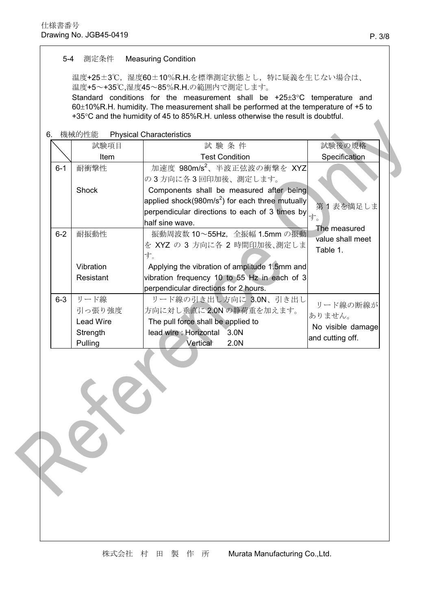## $5-4$ 測定条件 **Measuring Condition**

温度+25±3℃,湿度60±10%R.H.を標準測定状態とし、特に疑義を生じない場合は、 温度+5~+35℃,湿度45~85%R.H.の範囲内で測定します。

Standard conditions for the measurement shall be  $+25\pm3$ °C temperature and 60±10%R.H. humidity. The measurement shall be performed at the temperature of +5 to +35°C and the humidity of 45 to 85%R.H. unless otherwise the result is doubtful.

6. 機械的性能 **Physical Characteristics** 

|         | 試験項目             | 試験条件                                                                                                                   | 試験後の規格            |
|---------|------------------|------------------------------------------------------------------------------------------------------------------------|-------------------|
|         | Item             | <b>Test Condition</b>                                                                                                  | Specification     |
| $6 - 1$ | 耐衝撃性             | 加速度 980m/s2、半波正弦波の衝撃を XYZ                                                                                              |                   |
|         |                  | の3方向に各3回印加後、測定します。                                                                                                     |                   |
|         | Shock            | Components shall be measured after being                                                                               |                   |
|         |                  | applied shock(980m/s <sup>2</sup> ) for each three mutually                                                            | 第1表を満足しま          |
|         |                  | perpendicular directions to each of 3 times by $\left  \begin{matrix} \frac{1}{2} \\ \frac{1}{2} \end{matrix} \right $ |                   |
|         |                  | half sine wave.                                                                                                        | The measured      |
| $6 - 2$ | 耐振動性             | 振動周波数 10~55Hz, 全振幅 1.5mm の振動                                                                                           | value shall meet  |
|         |                  | を XYZ の 3 方向に各 2 時間印加後、測定しま                                                                                            | Table 1.          |
|         |                  | す。                                                                                                                     |                   |
|         | Vibration        | Applying the vibration of amplitude 1.5mm and                                                                          |                   |
|         | Resistant        | vibration frequency 10 to 55 Hz in each of 3                                                                           |                   |
|         |                  | perpendicular directions for 2 hours.                                                                                  |                   |
| $6-3$   | リード線             | リード線の引き出し方向に 3.0N、引き出し                                                                                                 | リード線の断線が          |
|         | 引っ張り強度           | 方向に対し垂直に2.0Nの静荷重を加えます。                                                                                                 | ありません。            |
|         | <b>Lead Wire</b> | The pull force shall be applied to                                                                                     | No visible damage |
|         | Strength         | lead wire: Horizontal 3.0N                                                                                             | and cutting off.  |
|         | Pulling          | Vertical<br>2.0N                                                                                                       |                   |

zh.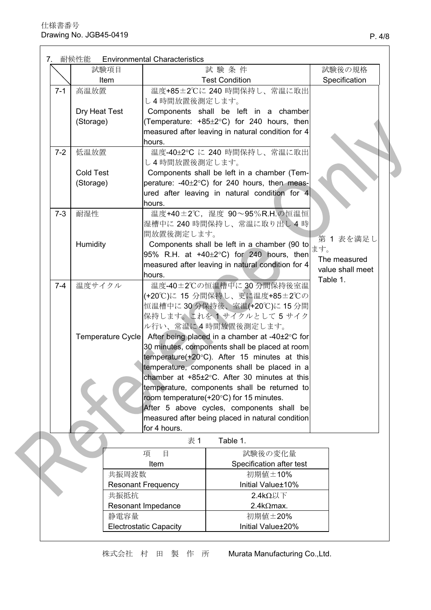|  |         | 試験項目              |                           | 試験条件                                                    |     | 試験後の規格           |
|--|---------|-------------------|---------------------------|---------------------------------------------------------|-----|------------------|
|  |         | Item              |                           | <b>Test Condition</b>                                   |     | Specification    |
|  | $7 - 1$ | 高温放置              |                           | 温度+85±2℃に240時間保持し、常温に取出                                 |     |                  |
|  |         |                   | し4時間放置後測定します。             |                                                         |     |                  |
|  |         | Dry Heat Test     |                           | Components shall be left in a chamber                   |     |                  |
|  |         | (Storage)         |                           | (Temperature: +85±2°C) for 240 hours, then              |     |                  |
|  |         |                   |                           | measured after leaving in natural condition for 4       |     |                  |
|  |         |                   | hours.                    |                                                         |     |                  |
|  | $7 - 2$ | 低温放置              |                           | 温度-40±2℃に240 時間保持し、常温に取出                                |     |                  |
|  |         |                   | し4時間放置後測定します。             |                                                         |     |                  |
|  |         | <b>Cold Test</b>  |                           | Components shall be left in a chamber (Tem-             |     |                  |
|  |         | (Storage)         |                           | perature: -40±2°C) for 240 hours, then meas-            |     |                  |
|  |         |                   |                           | ured after leaving in natural condition for 4           |     |                  |
|  |         |                   | hours.                    |                                                         |     |                  |
|  | $7 - 3$ | 耐湿性               |                           | 温度+40±2℃, 湿度 90~95%R.H.の恒温恒                             |     |                  |
|  |         |                   |                           | 湿槽中に 240 時間保持し、常温に取り出し4時                                |     |                  |
|  |         |                   | 間放置後測定します。                |                                                         |     |                  |
|  |         | Humidity          |                           | Components shall be left in a chamber (90 to            |     | 第1表を満足し          |
|  |         |                   |                           | $95\%$ R.H. at +40 $\pm$ 2°C) for 240 hours, then       | ます。 |                  |
|  |         |                   |                           | measured after leaving in natural condition for 4       |     | The measured     |
|  |         |                   | hours.                    |                                                         |     | value shall meet |
|  | $7 - 4$ | 温度サイクル            |                           | 温度-40±2℃の恒温槽中に30分間保持後室温                                 |     | Table 1.         |
|  |         |                   |                           | (+20℃)に 15 分間保持し、更に温度+85±2℃の                            |     |                  |
|  |         |                   |                           | 恒温槽中に30分保持後、室温(+20℃)に15分間                               |     |                  |
|  |         |                   |                           | 保持します。これを イサイクルとして5サイク                                  |     |                  |
|  |         |                   |                           | ル行い、常温に4時間放置後測定します。                                     |     |                  |
|  |         | Temperature Cycle |                           | After being placed in a chamber at -40±2°C for          |     |                  |
|  |         |                   |                           | 30 minutes, components shall be placed at room          |     |                  |
|  |         |                   |                           | temperature( $+20^{\circ}$ C). After 15 minutes at this |     |                  |
|  |         |                   |                           | temperature, components shall be placed in a            |     |                  |
|  |         |                   |                           | chamber at +85±2°C. After 30 minutes at this            |     |                  |
|  |         |                   |                           | temperature, components shall be returned to            |     |                  |
|  |         |                   |                           | room temperature(+20°C) for 15 minutes.                 |     |                  |
|  |         |                   |                           | After 5 above cycles, components shall be               |     |                  |
|  |         |                   |                           | measured after being placed in natural condition        |     |                  |
|  |         |                   | for 4 hours.              |                                                         |     |                  |
|  |         |                   | 表 1                       | Table 1.                                                |     |                  |
|  |         |                   | 項<br>目                    | 試験後の変化量                                                 |     |                  |
|  |         |                   | Item                      | Specification after test                                |     |                  |
|  |         | 共振周波数             |                           | 初期値±10%                                                 |     |                  |
|  |         |                   | <b>Resonant Frequency</b> | Initial Value±10%                                       |     |                  |
|  |         | 共振抵抗              |                           | $2.4$ kΩ以下                                              |     |                  |
|  |         |                   | Resonant Impedance        | $2.4$ k $\Omega$ max.                                   |     |                  |
|  |         |                   |                           |                                                         |     |                  |
|  |         | 静電容量              |                           | 初期值±20%                                                 |     |                  |

株式会社 村 田 製 作 所 Murata Manufacturing Co., Ltd.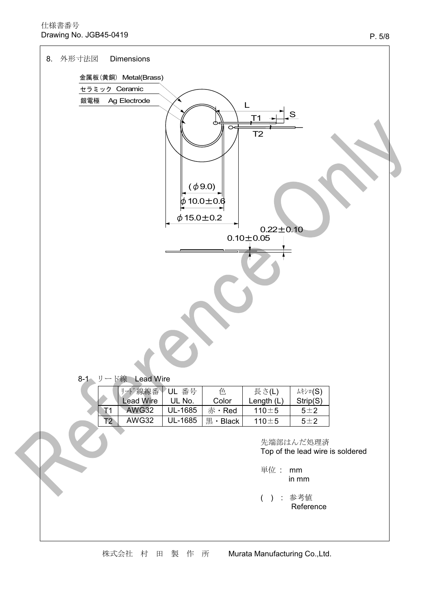## 仕様書番号 Drawing No. JGB45-0419

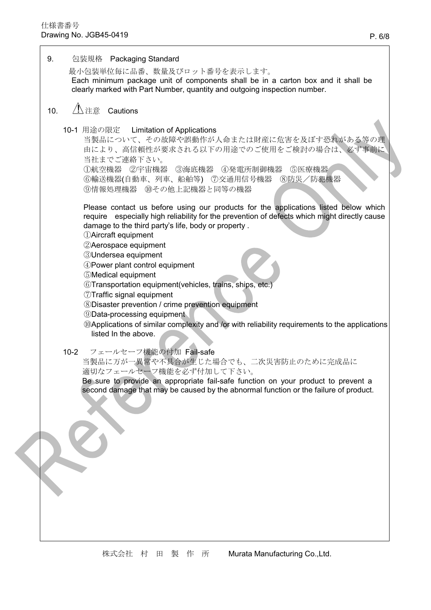9. 包装規格 Packaging Standard 最小包装単位毎に品番、数量及びロット番号を表示します。 Each minimum package unit of components shall be in a carton box and it shall be clearly marked with Part Number, quantity and outgoing inspection number.  $10.$ 10-1 用途の限定 **Limitation of Applications** 当製品について、その故障や誤動作が人命または財産に危害を及ぼす恐れがある等の理 由により、高信頼性が要求される以下の用途でのご使用をご検討の場合は、必ず事前に 当社までご連絡下さい。 ①航空機器 ②宇宙機器 ③海底機器 ④発電所制御機器 ⑤医療機器 ⑥輸送機器(自動車、列車、船舶等) ⑦交通用信号機器 ⑧防災/防犯機器 ⑨情報処理機器 10その他上記機器と同等の機器 Please contact us before using our products for the applications listed below which require especially high reliability for the prevention of defects which might directly cause damage to the third party's life, body or property. (1) Aircraft equipment 2 Aerospace equipment **3Undersea equipment** 4 Power plant control equipment 5) Medical equipment 6) Transportation equipment (vehicles, trains, ships, etc.) 77 Traffic signal equipment **8Disaster prevention / crime prevention equipment 9Data-processing equipment** @Applications of similar complexity and /or with reliability requirements to the applications listed In the above.  $10-2$ フェールセーフ機能の付加 Fail-safe 当製品に万が一異常や不具合が生じた場合でも、二次災害防止のために完成品に 適切なフェールセーフ機能を必ず付加して下さい。 Be sure to provide an appropriate fail-safe function on your product to prevent a second damage that may be caused by the abnormal function or the failure of product.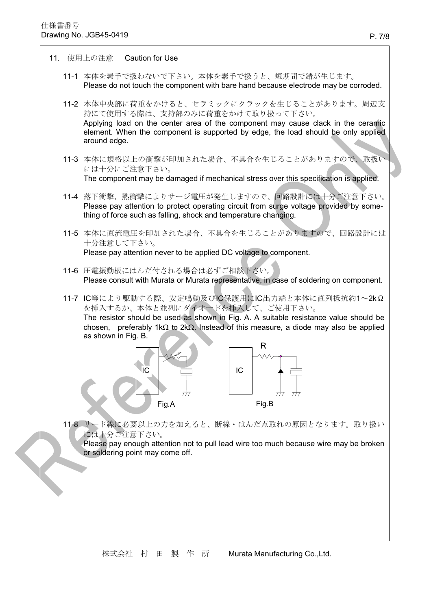